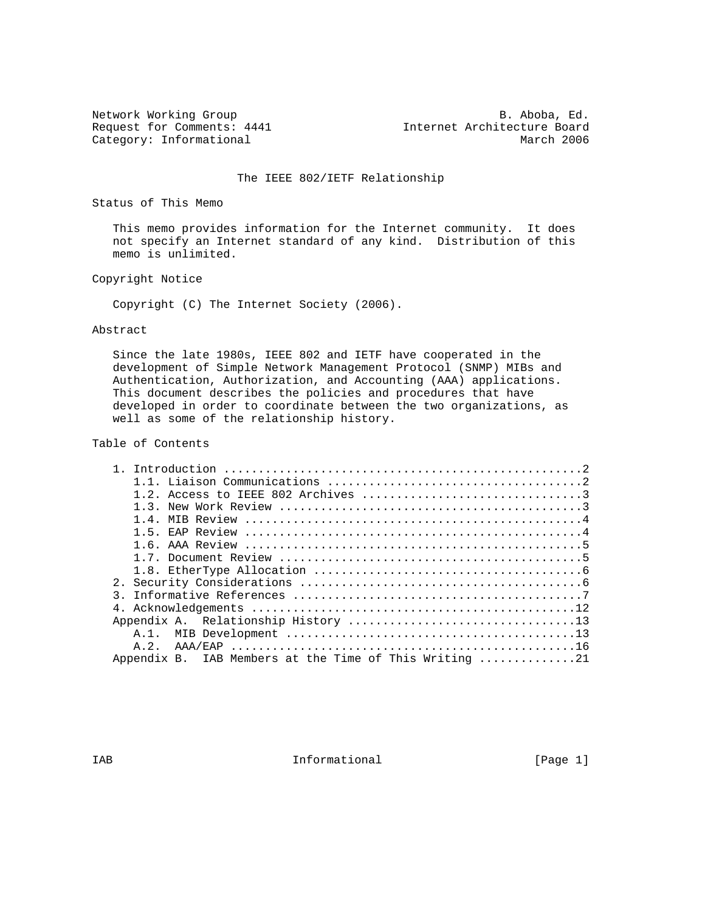Category: Informational

Network Working Group<br>Request for Comments: 4441 Thernet Architecture Board Internet Architecture Board<br>March 2006

## The IEEE 802/IETF Relationship

Status of This Memo

 This memo provides information for the Internet community. It does not specify an Internet standard of any kind. Distribution of this memo is unlimited.

Copyright Notice

Copyright (C) The Internet Society (2006).

## Abstract

 Since the late 1980s, IEEE 802 and IETF have cooperated in the development of Simple Network Management Protocol (SNMP) MIBs and Authentication, Authorization, and Accounting (AAA) applications. This document describes the policies and procedures that have developed in order to coordinate between the two organizations, as well as some of the relationship history.

# Table of Contents

|               | 1.3. New Work Review $\ldots$ $\ldots$ $\ldots$ $\ldots$ $\ldots$ $\ldots$ $\ldots$ |
|---------------|-------------------------------------------------------------------------------------|
|               |                                                                                     |
|               |                                                                                     |
|               |                                                                                     |
|               |                                                                                     |
|               |                                                                                     |
|               |                                                                                     |
| $\mathcal{R}$ |                                                                                     |
|               |                                                                                     |
|               |                                                                                     |
|               |                                                                                     |
|               |                                                                                     |
|               | Appendix B. IAB Members at the Time of This Writing 21                              |
|               |                                                                                     |

IAB 188 CHA Informational The Informational (Page 1)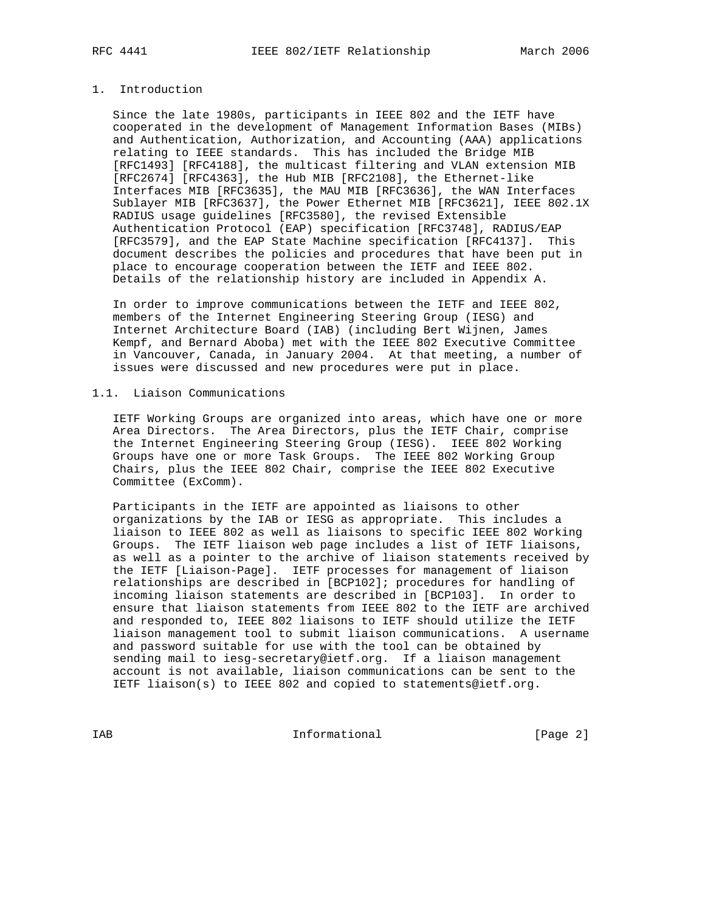## 1. Introduction

 Since the late 1980s, participants in IEEE 802 and the IETF have cooperated in the development of Management Information Bases (MIBs) and Authentication, Authorization, and Accounting (AAA) applications relating to IEEE standards. This has included the Bridge MIB [RFC1493] [RFC4188], the multicast filtering and VLAN extension MIB [RFC2674] [RFC4363], the Hub MIB [RFC2108], the Ethernet-like Interfaces MIB [RFC3635], the MAU MIB [RFC3636], the WAN Interfaces Sublayer MIB [RFC3637], the Power Ethernet MIB [RFC3621], IEEE 802.1X RADIUS usage guidelines [RFC3580], the revised Extensible Authentication Protocol (EAP) specification [RFC3748], RADIUS/EAP [RFC3579], and the EAP State Machine specification [RFC4137]. This document describes the policies and procedures that have been put in place to encourage cooperation between the IETF and IEEE 802. Details of the relationship history are included in Appendix A.

 In order to improve communications between the IETF and IEEE 802, members of the Internet Engineering Steering Group (IESG) and Internet Architecture Board (IAB) (including Bert Wijnen, James Kempf, and Bernard Aboba) met with the IEEE 802 Executive Committee in Vancouver, Canada, in January 2004. At that meeting, a number of issues were discussed and new procedures were put in place.

# 1.1. Liaison Communications

 IETF Working Groups are organized into areas, which have one or more Area Directors. The Area Directors, plus the IETF Chair, comprise the Internet Engineering Steering Group (IESG). IEEE 802 Working Groups have one or more Task Groups. The IEEE 802 Working Group Chairs, plus the IEEE 802 Chair, comprise the IEEE 802 Executive Committee (ExComm).

 Participants in the IETF are appointed as liaisons to other organizations by the IAB or IESG as appropriate. This includes a liaison to IEEE 802 as well as liaisons to specific IEEE 802 Working Groups. The IETF liaison web page includes a list of IETF liaisons, as well as a pointer to the archive of liaison statements received by the IETF [Liaison-Page]. IETF processes for management of liaison relationships are described in [BCP102]; procedures for handling of incoming liaison statements are described in [BCP103]. In order to ensure that liaison statements from IEEE 802 to the IETF are archived and responded to, IEEE 802 liaisons to IETF should utilize the IETF liaison management tool to submit liaison communications. A username and password suitable for use with the tool can be obtained by sending mail to iesg-secretary@ietf.org. If a liaison management account is not available, liaison communications can be sent to the IETF liaison(s) to IEEE 802 and copied to statements@ietf.org.

IAB Informational [Page 2]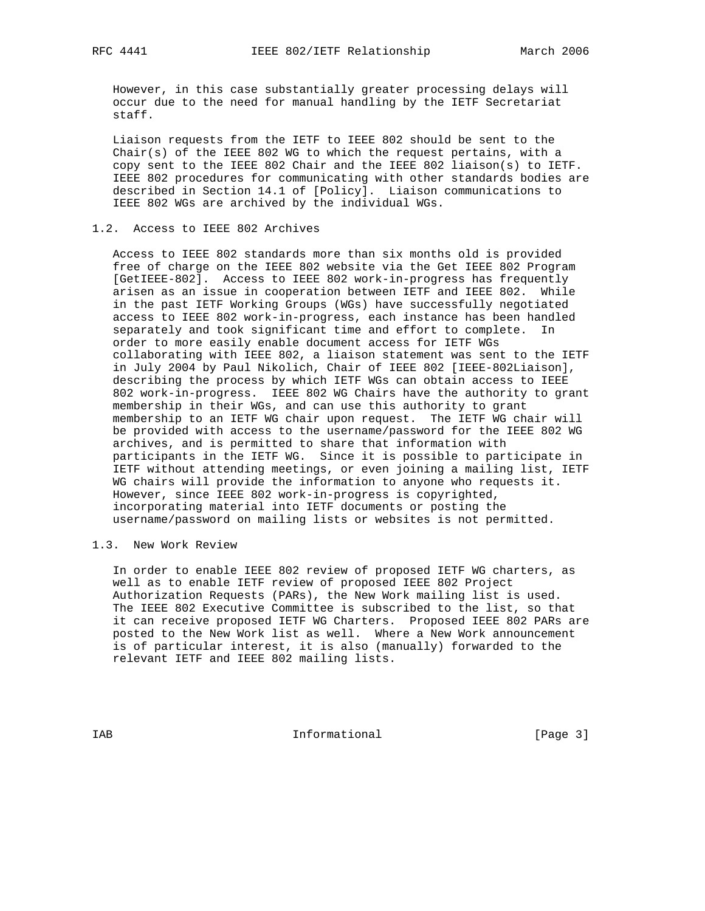However, in this case substantially greater processing delays will occur due to the need for manual handling by the IETF Secretariat staff.

 Liaison requests from the IETF to IEEE 802 should be sent to the Chair(s) of the IEEE 802 WG to which the request pertains, with a copy sent to the IEEE 802 Chair and the IEEE 802 liaison(s) to IETF. IEEE 802 procedures for communicating with other standards bodies are described in Section 14.1 of [Policy]. Liaison communications to IEEE 802 WGs are archived by the individual WGs.

## 1.2. Access to IEEE 802 Archives

 Access to IEEE 802 standards more than six months old is provided free of charge on the IEEE 802 website via the Get IEEE 802 Program [GetIEEE-802]. Access to IEEE 802 work-in-progress has frequently arisen as an issue in cooperation between IETF and IEEE 802. While in the past IETF Working Groups (WGs) have successfully negotiated access to IEEE 802 work-in-progress, each instance has been handled separately and took significant time and effort to complete. In order to more easily enable document access for IETF WGs collaborating with IEEE 802, a liaison statement was sent to the IETF in July 2004 by Paul Nikolich, Chair of IEEE 802 [IEEE-802Liaison], describing the process by which IETF WGs can obtain access to IEEE 802 work-in-progress. IEEE 802 WG Chairs have the authority to grant membership in their WGs, and can use this authority to grant membership to an IETF WG chair upon request. The IETF WG chair will be provided with access to the username/password for the IEEE 802 WG archives, and is permitted to share that information with participants in the IETF WG. Since it is possible to participate in IETF without attending meetings, or even joining a mailing list, IETF WG chairs will provide the information to anyone who requests it. However, since IEEE 802 work-in-progress is copyrighted, incorporating material into IETF documents or posting the username/password on mailing lists or websites is not permitted.

# 1.3. New Work Review

 In order to enable IEEE 802 review of proposed IETF WG charters, as well as to enable IETF review of proposed IEEE 802 Project Authorization Requests (PARs), the New Work mailing list is used. The IEEE 802 Executive Committee is subscribed to the list, so that it can receive proposed IETF WG Charters. Proposed IEEE 802 PARs are posted to the New Work list as well. Where a New Work announcement is of particular interest, it is also (manually) forwarded to the relevant IETF and IEEE 802 mailing lists.

IAB 188 CHA Informational The Informational (Page 3)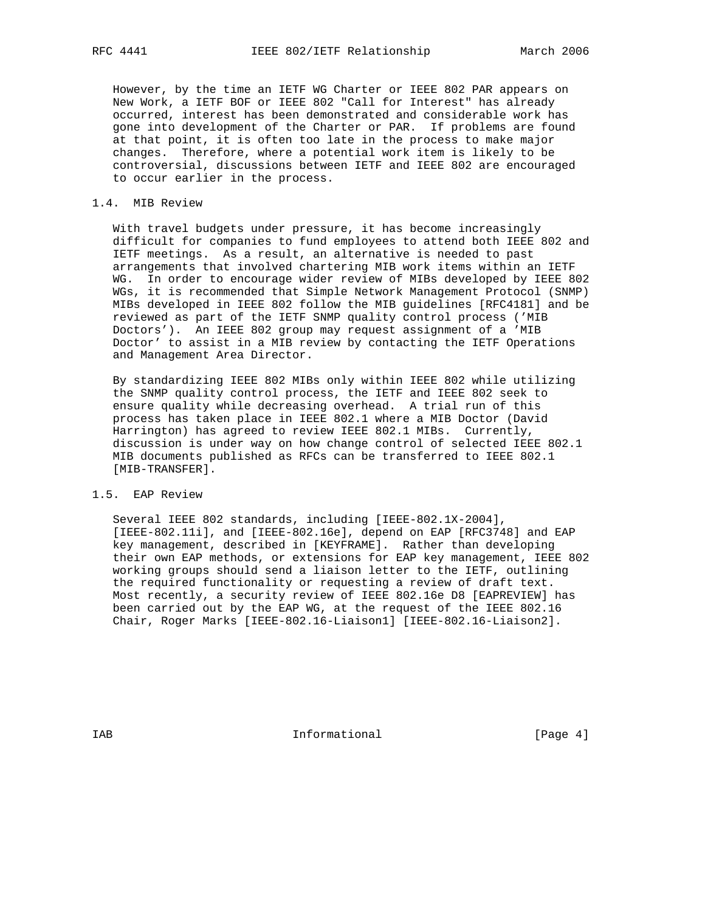However, by the time an IETF WG Charter or IEEE 802 PAR appears on New Work, a IETF BOF or IEEE 802 "Call for Interest" has already occurred, interest has been demonstrated and considerable work has gone into development of the Charter or PAR. If problems are found at that point, it is often too late in the process to make major changes. Therefore, where a potential work item is likely to be controversial, discussions between IETF and IEEE 802 are encouraged to occur earlier in the process.

#### 1.4. MIB Review

 With travel budgets under pressure, it has become increasingly difficult for companies to fund employees to attend both IEEE 802 and IETF meetings. As a result, an alternative is needed to past arrangements that involved chartering MIB work items within an IETF WG. In order to encourage wider review of MIBs developed by IEEE 802 WGs, it is recommended that Simple Network Management Protocol (SNMP) MIBs developed in IEEE 802 follow the MIB guidelines [RFC4181] and be reviewed as part of the IETF SNMP quality control process ('MIB Doctors'). An IEEE 802 group may request assignment of a 'MIB Doctor' to assist in a MIB review by contacting the IETF Operations and Management Area Director.

 By standardizing IEEE 802 MIBs only within IEEE 802 while utilizing the SNMP quality control process, the IETF and IEEE 802 seek to ensure quality while decreasing overhead. A trial run of this process has taken place in IEEE 802.1 where a MIB Doctor (David Harrington) has agreed to review IEEE 802.1 MIBs. Currently, discussion is under way on how change control of selected IEEE 802.1 MIB documents published as RFCs can be transferred to IEEE 802.1 [MIB-TRANSFER].

## 1.5. EAP Review

 Several IEEE 802 standards, including [IEEE-802.1X-2004], [IEEE-802.11i], and [IEEE-802.16e], depend on EAP [RFC3748] and EAP key management, described in [KEYFRAME]. Rather than developing their own EAP methods, or extensions for EAP key management, IEEE 802 working groups should send a liaison letter to the IETF, outlining the required functionality or requesting a review of draft text. Most recently, a security review of IEEE 802.16e D8 [EAPREVIEW] has been carried out by the EAP WG, at the request of the IEEE 802.16 Chair, Roger Marks [IEEE-802.16-Liaison1] [IEEE-802.16-Liaison2].

IAB 188 CHA Informational The Informational (Page 4)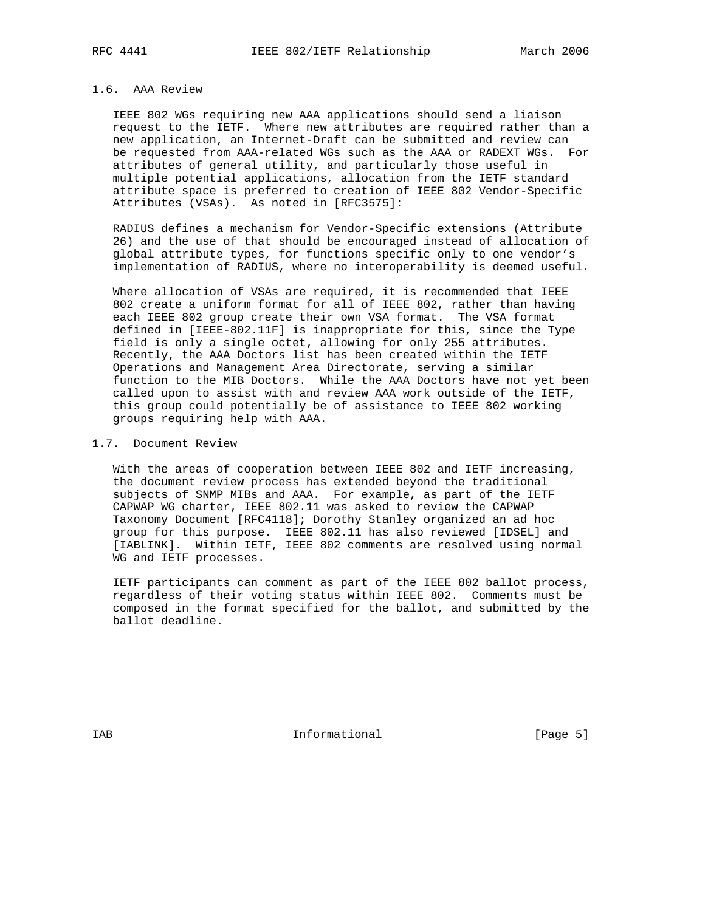## 1.6. AAA Review

 IEEE 802 WGs requiring new AAA applications should send a liaison request to the IETF. Where new attributes are required rather than a new application, an Internet-Draft can be submitted and review can be requested from AAA-related WGs such as the AAA or RADEXT WGs. For attributes of general utility, and particularly those useful in multiple potential applications, allocation from the IETF standard attribute space is preferred to creation of IEEE 802 Vendor-Specific Attributes (VSAs). As noted in [RFC3575]:

 RADIUS defines a mechanism for Vendor-Specific extensions (Attribute 26) and the use of that should be encouraged instead of allocation of global attribute types, for functions specific only to one vendor's implementation of RADIUS, where no interoperability is deemed useful.

 Where allocation of VSAs are required, it is recommended that IEEE 802 create a uniform format for all of IEEE 802, rather than having each IEEE 802 group create their own VSA format. The VSA format defined in [IEEE-802.11F] is inappropriate for this, since the Type field is only a single octet, allowing for only 255 attributes. Recently, the AAA Doctors list has been created within the IETF Operations and Management Area Directorate, serving a similar function to the MIB Doctors. While the AAA Doctors have not yet been called upon to assist with and review AAA work outside of the IETF, this group could potentially be of assistance to IEEE 802 working groups requiring help with AAA.

## 1.7. Document Review

 With the areas of cooperation between IEEE 802 and IETF increasing, the document review process has extended beyond the traditional subjects of SNMP MIBs and AAA. For example, as part of the IETF CAPWAP WG charter, IEEE 802.11 was asked to review the CAPWAP Taxonomy Document [RFC4118]; Dorothy Stanley organized an ad hoc group for this purpose. IEEE 802.11 has also reviewed [IDSEL] and [IABLINK]. Within IETF, IEEE 802 comments are resolved using normal WG and IETF processes.

 IETF participants can comment as part of the IEEE 802 ballot process, regardless of their voting status within IEEE 802. Comments must be composed in the format specified for the ballot, and submitted by the ballot deadline.

IAB 188 and 100 mm informational the state of  $[Page 5]$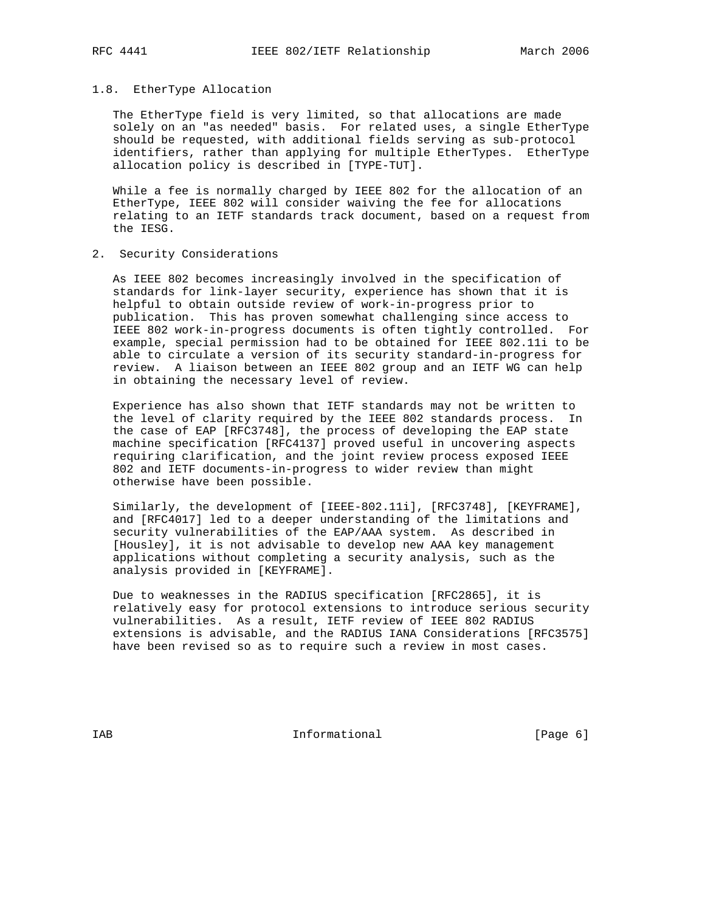#### 1.8. EtherType Allocation

 The EtherType field is very limited, so that allocations are made solely on an "as needed" basis. For related uses, a single EtherType should be requested, with additional fields serving as sub-protocol identifiers, rather than applying for multiple EtherTypes. EtherType allocation policy is described in [TYPE-TUT].

 While a fee is normally charged by IEEE 802 for the allocation of an EtherType, IEEE 802 will consider waiving the fee for allocations relating to an IETF standards track document, based on a request from the IESG.

2. Security Considerations

 As IEEE 802 becomes increasingly involved in the specification of standards for link-layer security, experience has shown that it is helpful to obtain outside review of work-in-progress prior to publication. This has proven somewhat challenging since access to IEEE 802 work-in-progress documents is often tightly controlled. For example, special permission had to be obtained for IEEE 802.11i to be able to circulate a version of its security standard-in-progress for review. A liaison between an IEEE 802 group and an IETF WG can help in obtaining the necessary level of review.

 Experience has also shown that IETF standards may not be written to the level of clarity required by the IEEE 802 standards process. In the case of EAP [RFC3748], the process of developing the EAP state machine specification [RFC4137] proved useful in uncovering aspects requiring clarification, and the joint review process exposed IEEE 802 and IETF documents-in-progress to wider review than might otherwise have been possible.

 Similarly, the development of [IEEE-802.11i], [RFC3748], [KEYFRAME], and [RFC4017] led to a deeper understanding of the limitations and security vulnerabilities of the EAP/AAA system. As described in [Housley], it is not advisable to develop new AAA key management applications without completing a security analysis, such as the analysis provided in [KEYFRAME].

 Due to weaknesses in the RADIUS specification [RFC2865], it is relatively easy for protocol extensions to introduce serious security vulnerabilities. As a result, IETF review of IEEE 802 RADIUS extensions is advisable, and the RADIUS IANA Considerations [RFC3575] have been revised so as to require such a review in most cases.

IAB 188 CHA Informational The Informational (Page 6)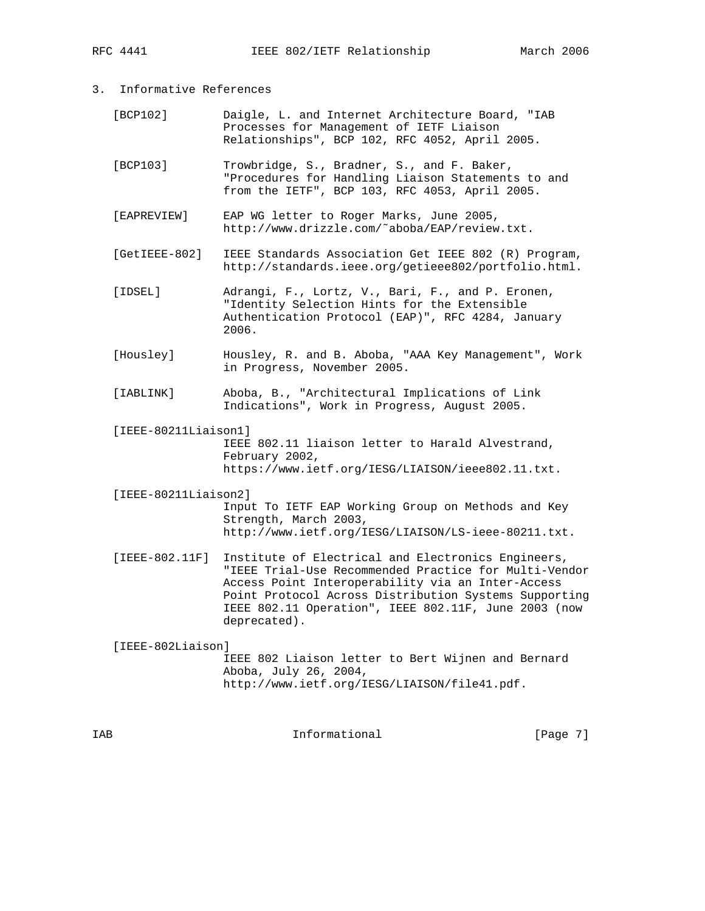- 3. Informative References
	- [BCP102] Daigle, L. and Internet Architecture Board, "IAB Processes for Management of IETF Liaison Relationships", BCP 102, RFC 4052, April 2005.
	- [BCP103] Trowbridge, S., Bradner, S., and F. Baker, "Procedures for Handling Liaison Statements to and from the IETF", BCP 103, RFC 4053, April 2005.
	- [EAPREVIEW] EAP WG letter to Roger Marks, June 2005, http://www.drizzle.com/˜aboba/EAP/review.txt.
	- [GetIEEE-802] IEEE Standards Association Get IEEE 802 (R) Program, http://standards.ieee.org/getieee802/portfolio.html.
	- [IDSEL] Adrangi, F., Lortz, V., Bari, F., and P. Eronen, "Identity Selection Hints for the Extensible Authentication Protocol (EAP)", RFC 4284, January 2006.
	- [Housley] Housley, R. and B. Aboba, "AAA Key Management", Work in Progress, November 2005.
	- [IABLINK] Aboba, B., "Architectural Implications of Link Indications", Work in Progress, August 2005.
	- [IEEE-80211Liaison1] IEEE 802.11 liaison letter to Harald Alvestrand, February 2002, https://www.ietf.org/IESG/LIAISON/ieee802.11.txt.
	- [IEEE-80211Liaison2] Input To IETF EAP Working Group on Methods and Key Strength, March 2003, http://www.ietf.org/IESG/LIAISON/LS-ieee-80211.txt.
	- [IEEE-802.11F] Institute of Electrical and Electronics Engineers, "IEEE Trial-Use Recommended Practice for Multi-Vendor Access Point Interoperability via an Inter-Access Point Protocol Across Distribution Systems Supporting IEEE 802.11 Operation", IEEE 802.11F, June 2003 (now deprecated).
	- [IEEE-802Liaison] IEEE 802 Liaison letter to Bert Wijnen and Bernard Aboba, July 26, 2004, http://www.ietf.org/IESG/LIAISON/file41.pdf.

IAB **Informational Informational** [Page 7]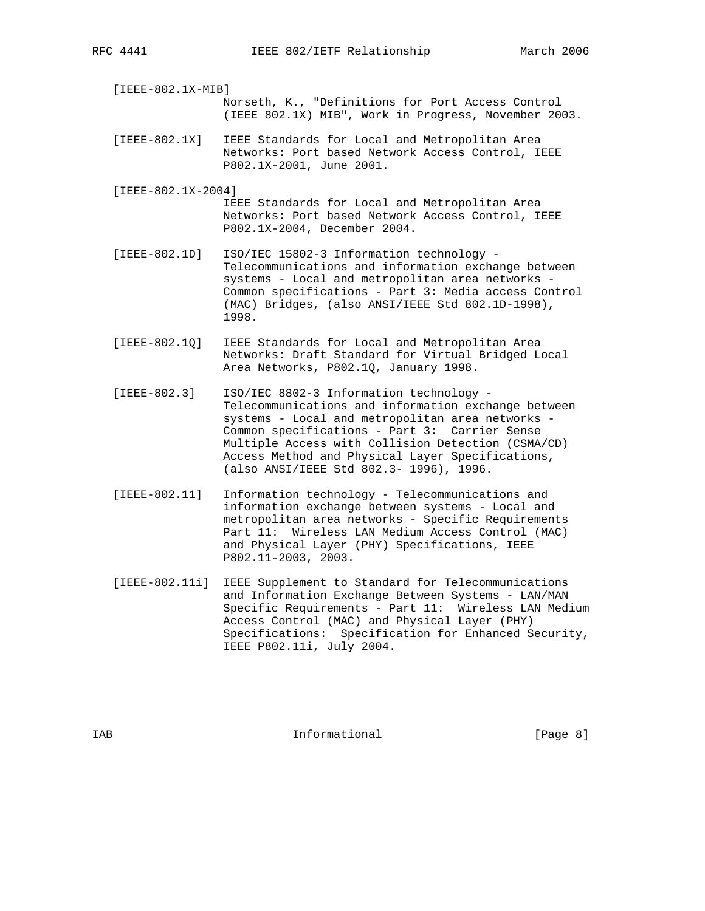[IEEE-802.1X-MIB] Norseth, K., "Definitions for Port Access Control (IEEE 802.1X) MIB", Work in Progress, November 2003.

- [IEEE-802.1X] IEEE Standards for Local and Metropolitan Area Networks: Port based Network Access Control, IEEE P802.1X-2001, June 2001.
- [IEEE-802.1X-2004] IEEE Standards for Local and Metropolitan Area Networks: Port based Network Access Control, IEEE P802.1X-2004, December 2004.
- [IEEE-802.1D] ISO/IEC 15802-3 Information technology Telecommunications and information exchange between systems - Local and metropolitan area networks - Common specifications - Part 3: Media access Control (MAC) Bridges, (also ANSI/IEEE Std 802.1D-1998), 1998.
- [IEEE-802.1Q] IEEE Standards for Local and Metropolitan Area Networks: Draft Standard for Virtual Bridged Local Area Networks, P802.1Q, January 1998.
- [IEEE-802.3] ISO/IEC 8802-3 Information technology Telecommunications and information exchange between systems - Local and metropolitan area networks - Common specifications - Part 3: Carrier Sense Multiple Access with Collision Detection (CSMA/CD) Access Method and Physical Layer Specifications, (also ANSI/IEEE Std 802.3- 1996), 1996.
- [IEEE-802.11] Information technology Telecommunications and information exchange between systems - Local and metropolitan area networks - Specific Requirements Part 11: Wireless LAN Medium Access Control (MAC) and Physical Layer (PHY) Specifications, IEEE P802.11-2003, 2003.
- [IEEE-802.11i] IEEE Supplement to Standard for Telecommunications and Information Exchange Between Systems - LAN/MAN Specific Requirements - Part 11: Wireless LAN Medium Access Control (MAC) and Physical Layer (PHY) Specifications: Specification for Enhanced Security, IEEE P802.11i, July 2004.

IAB 188 CHA Informational The Informational (Page 8)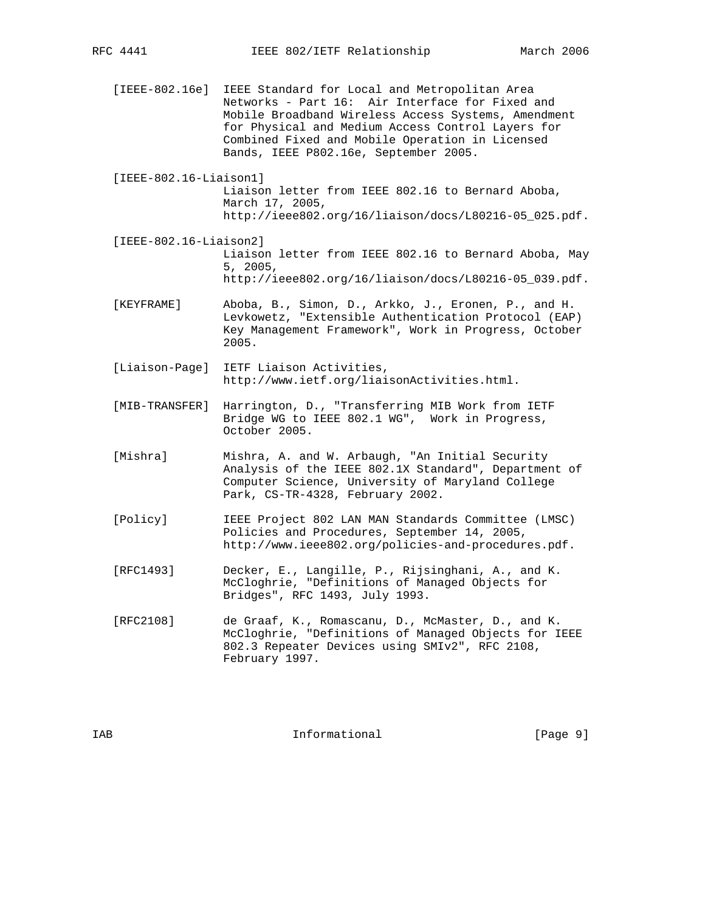[IEEE-802.16e] IEEE Standard for Local and Metropolitan Area Networks - Part 16: Air Interface for Fixed and Mobile Broadband Wireless Access Systems, Amendment for Physical and Medium Access Control Layers for Combined Fixed and Mobile Operation in Licensed Bands, IEEE P802.16e, September 2005.

 [IEEE-802.16-Liaison1] Liaison letter from IEEE 802.16 to Bernard Aboba, March 17, 2005, http://ieee802.org/16/liaison/docs/L80216-05\_025.pdf.

 [IEEE-802.16-Liaison2] Liaison letter from IEEE 802.16 to Bernard Aboba, May 5, 2005, http://ieee802.org/16/liaison/docs/L80216-05\_039.pdf.

 [KEYFRAME] Aboba, B., Simon, D., Arkko, J., Eronen, P., and H. Levkowetz, "Extensible Authentication Protocol (EAP) Key Management Framework", Work in Progress, October 2005.

 [Liaison-Page] IETF Liaison Activities, http://www.ietf.org/liaisonActivities.html.

 [MIB-TRANSFER] Harrington, D., "Transferring MIB Work from IETF Bridge WG to IEEE 802.1 WG", Work in Progress, October 2005.

[Mishra] Mishra, A. and W. Arbaugh, "An Initial Security Analysis of the IEEE 802.1X Standard", Department of Computer Science, University of Maryland College Park, CS-TR-4328, February 2002.

 [Policy] IEEE Project 802 LAN MAN Standards Committee (LMSC) Policies and Procedures, September 14, 2005, http://www.ieee802.org/policies-and-procedures.pdf.

 [RFC1493] Decker, E., Langille, P., Rijsinghani, A., and K. McCloghrie, "Definitions of Managed Objects for Bridges", RFC 1493, July 1993.

 [RFC2108] de Graaf, K., Romascanu, D., McMaster, D., and K. McCloghrie, "Definitions of Managed Objects for IEEE 802.3 Repeater Devices using SMIv2", RFC 2108, February 1997.

IAB 188 CHA Informational The Informational (Page 9)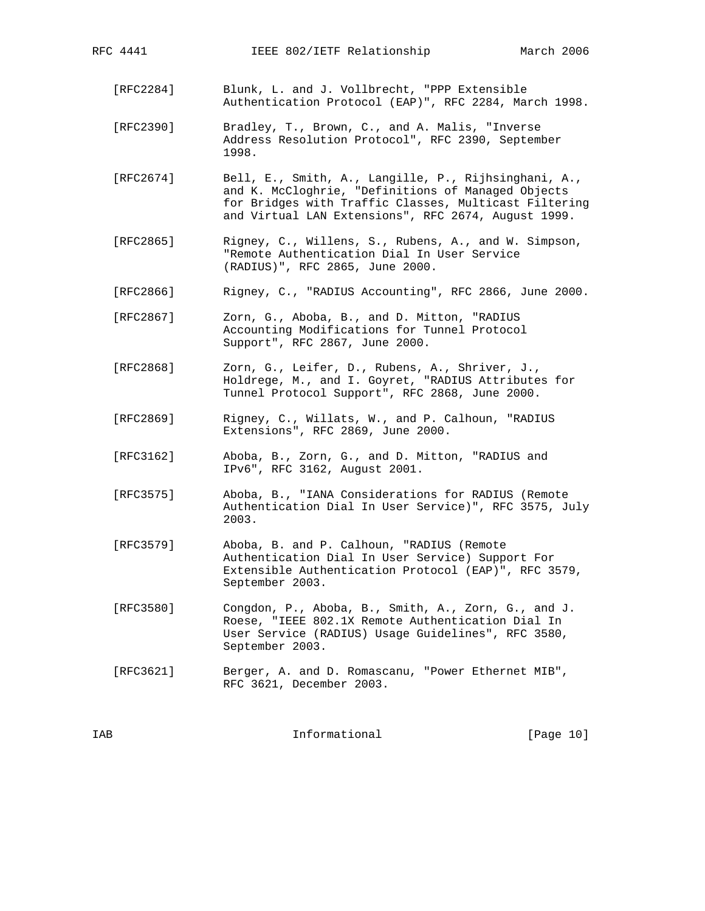| [RFC2284] | Blunk, L. and J. Vollbrecht, "PPP Extensible<br>Authentication Protocol (EAP)", RFC 2284, March 1998.                                                                                                                      |
|-----------|----------------------------------------------------------------------------------------------------------------------------------------------------------------------------------------------------------------------------|
| [RFC2390] | Bradley, T., Brown, C., and A. Malis, "Inverse<br>Address Resolution Protocol", RFC 2390, September<br>1998.                                                                                                               |
| [RFC2674] | Bell, E., Smith, A., Langille, P., Rijhsinghani, A.,<br>and K. McCloghrie, "Definitions of Managed Objects<br>for Bridges with Traffic Classes, Multicast Filtering<br>and Virtual LAN Extensions", RFC 2674, August 1999. |
| [RFC2865] | Rigney, C., Willens, S., Rubens, A., and W. Simpson,<br>"Remote Authentication Dial In User Service<br>(RADIUS)", RFC 2865, June 2000.                                                                                     |
| [RFC2866] | Rigney, C., "RADIUS Accounting", RFC 2866, June 2000.                                                                                                                                                                      |
| [RFC2867] | Zorn, G., Aboba, B., and D. Mitton, "RADIUS<br>Accounting Modifications for Tunnel Protocol<br>Support", RFC 2867, June 2000.                                                                                              |
| [REC2868] | Zorn, G., Leifer, D., Rubens, A., Shriver, J.,<br>Holdrege, M., and I. Goyret, "RADIUS Attributes for<br>Tunnel Protocol Support", RFC 2868, June 2000.                                                                    |
| [RFC2869] | Rigney, C., Willats, W., and P. Calhoun, "RADIUS<br>Extensions", RFC 2869, June 2000.                                                                                                                                      |
| [RFC3162] | Aboba, B., Zorn, G., and D. Mitton, "RADIUS and<br>IPv6", RFC 3162, August 2001.                                                                                                                                           |
| [RFC3575] | Aboba, B., "IANA Considerations for RADIUS (Remote<br>Authentication Dial In User Service)", RFC 3575, July<br>2003.                                                                                                       |
| [RFC3579] | Aboba, B. and P. Calhoun, "RADIUS (Remote<br>Authentication Dial In User Service) Support For<br>Extensible Authentication Protocol (EAP)", RFC 3579,<br>September 2003.                                                   |
| [RFC3580] | Congdon, P., Aboba, B., Smith, A., Zorn, G., and J.<br>Roese, "IEEE 802.1X Remote Authentication Dial In<br>User Service (RADIUS) Usage Guidelines", RFC 3580,<br>September 2003.                                          |
| [RFC3621] | Berger, A. and D. Romascanu, "Power Ethernet MIB",<br>RFC 3621, December 2003.                                                                                                                                             |
|           |                                                                                                                                                                                                                            |

RFC 4441 **IEEE 802/IETF Relationship** March 2006

IAB Informational [Page 10]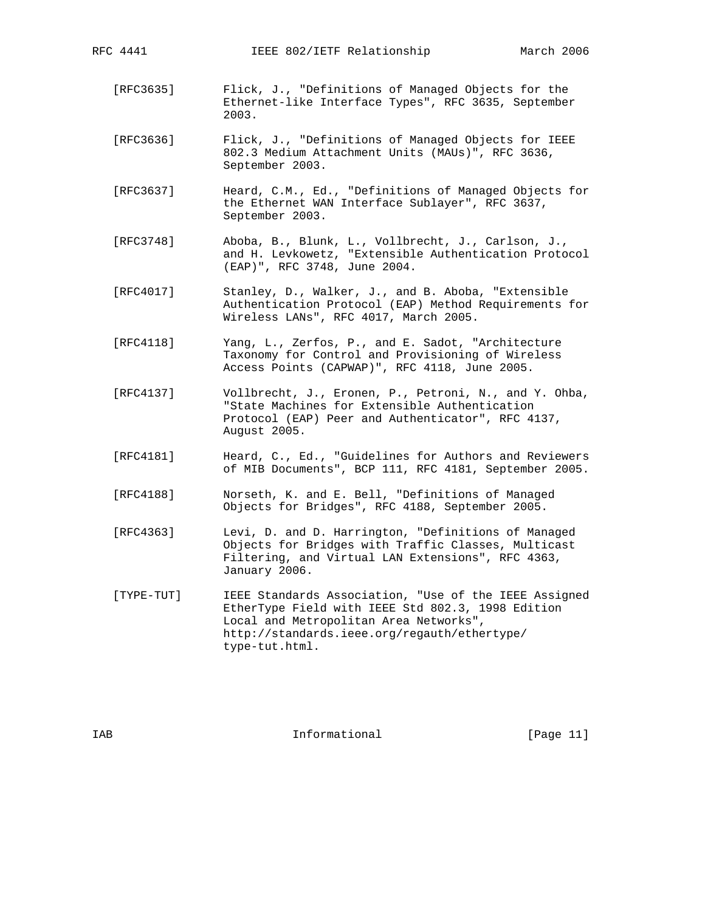- [RFC3635] Flick, J., "Definitions of Managed Objects for the Ethernet-like Interface Types", RFC 3635, September 2003.
- [RFC3636] Flick, J., "Definitions of Managed Objects for IEEE 802.3 Medium Attachment Units (MAUs)", RFC 3636, September 2003.
- [RFC3637] Heard, C.M., Ed., "Definitions of Managed Objects for the Ethernet WAN Interface Sublayer", RFC 3637, September 2003.
- [RFC3748] Aboba, B., Blunk, L., Vollbrecht, J., Carlson, J., and H. Levkowetz, "Extensible Authentication Protocol (EAP)", RFC 3748, June 2004.
- [RFC4017] Stanley, D., Walker, J., and B. Aboba, "Extensible Authentication Protocol (EAP) Method Requirements for Wireless LANs", RFC 4017, March 2005.
- [RFC4118] Yang, L., Zerfos, P., and E. Sadot, "Architecture Taxonomy for Control and Provisioning of Wireless Access Points (CAPWAP)", RFC 4118, June 2005.
- [RFC4137] Vollbrecht, J., Eronen, P., Petroni, N., and Y. Ohba, "State Machines for Extensible Authentication Protocol (EAP) Peer and Authenticator", RFC 4137, August 2005.
- [RFC4181] Heard, C., Ed., "Guidelines for Authors and Reviewers of MIB Documents", BCP 111, RFC 4181, September 2005.
- [RFC4188] Norseth, K. and E. Bell, "Definitions of Managed Objects for Bridges", RFC 4188, September 2005.
- [RFC4363] Levi, D. and D. Harrington, "Definitions of Managed Objects for Bridges with Traffic Classes, Multicast Filtering, and Virtual LAN Extensions", RFC 4363, January 2006.
- [TYPE-TUT] IEEE Standards Association, "Use of the IEEE Assigned EtherType Field with IEEE Std 802.3, 1998 Edition Local and Metropolitan Area Networks", http://standards.ieee.org/regauth/ethertype/ type-tut.html.

IAB 188 Informational [Page 11]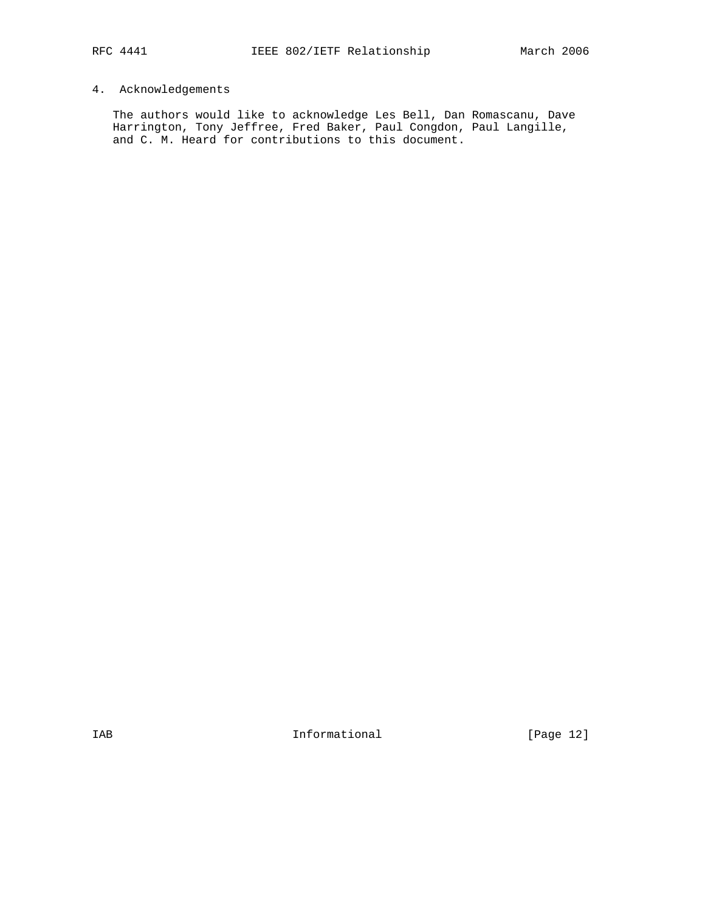# 4. Acknowledgements

 The authors would like to acknowledge Les Bell, Dan Romascanu, Dave Harrington, Tony Jeffree, Fred Baker, Paul Congdon, Paul Langille, and C. M. Heard for contributions to this document.

IAB Informational [Page 12]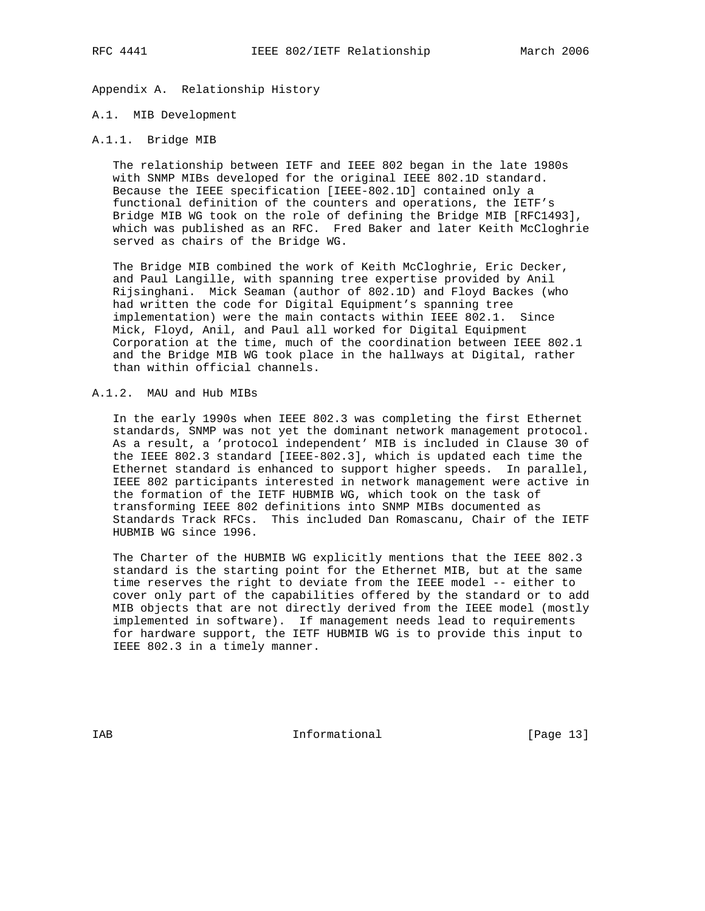Appendix A. Relationship History

#### A.1. MIB Development

### A.1.1. Bridge MIB

 The relationship between IETF and IEEE 802 began in the late 1980s with SNMP MIBs developed for the original IEEE 802.1D standard. Because the IEEE specification [IEEE-802.1D] contained only a functional definition of the counters and operations, the IETF's Bridge MIB WG took on the role of defining the Bridge MIB [RFC1493], which was published as an RFC. Fred Baker and later Keith McCloghrie served as chairs of the Bridge WG.

 The Bridge MIB combined the work of Keith McCloghrie, Eric Decker, and Paul Langille, with spanning tree expertise provided by Anil Rijsinghani. Mick Seaman (author of 802.1D) and Floyd Backes (who had written the code for Digital Equipment's spanning tree implementation) were the main contacts within IEEE 802.1. Since Mick, Floyd, Anil, and Paul all worked for Digital Equipment Corporation at the time, much of the coordination between IEEE 802.1 and the Bridge MIB WG took place in the hallways at Digital, rather than within official channels.

# A.1.2. MAU and Hub MIBs

 In the early 1990s when IEEE 802.3 was completing the first Ethernet standards, SNMP was not yet the dominant network management protocol. As a result, a 'protocol independent' MIB is included in Clause 30 of the IEEE 802.3 standard [IEEE-802.3], which is updated each time the Ethernet standard is enhanced to support higher speeds. In parallel, IEEE 802 participants interested in network management were active in the formation of the IETF HUBMIB WG, which took on the task of transforming IEEE 802 definitions into SNMP MIBs documented as Standards Track RFCs. This included Dan Romascanu, Chair of the IETF HUBMIB WG since 1996.

 The Charter of the HUBMIB WG explicitly mentions that the IEEE 802.3 standard is the starting point for the Ethernet MIB, but at the same time reserves the right to deviate from the IEEE model -- either to cover only part of the capabilities offered by the standard or to add MIB objects that are not directly derived from the IEEE model (mostly implemented in software). If management needs lead to requirements for hardware support, the IETF HUBMIB WG is to provide this input to IEEE 802.3 in a timely manner.

IAB 188 Informational [Page 13]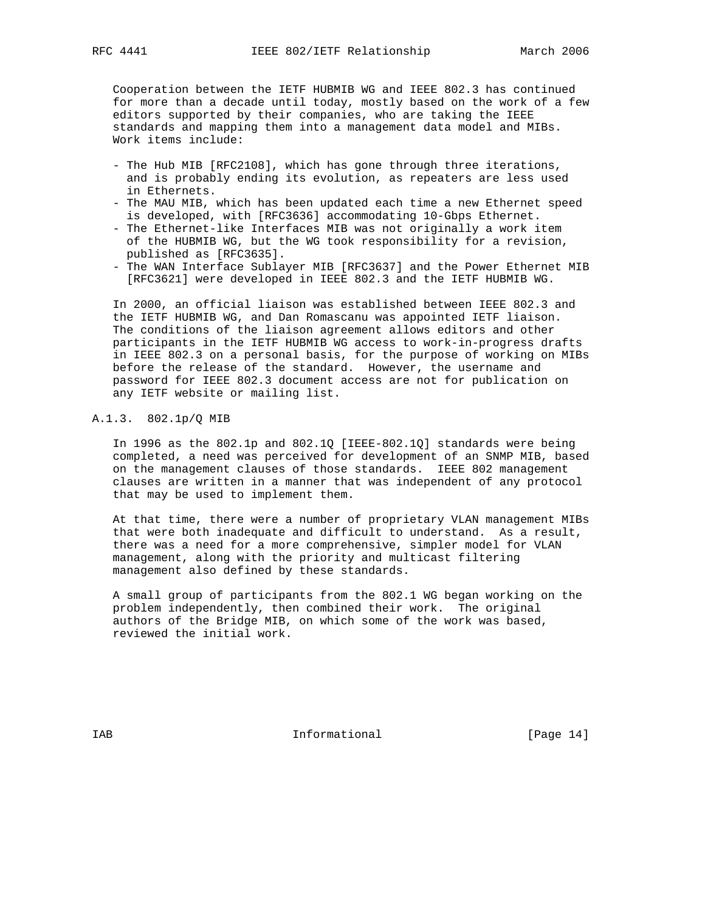Cooperation between the IETF HUBMIB WG and IEEE 802.3 has continued for more than a decade until today, mostly based on the work of a few editors supported by their companies, who are taking the IEEE standards and mapping them into a management data model and MIBs. Work items include:

- The Hub MIB [RFC2108], which has gone through three iterations, and is probably ending its evolution, as repeaters are less used in Ethernets.
- The MAU MIB, which has been updated each time a new Ethernet speed is developed, with [RFC3636] accommodating 10-Gbps Ethernet.
- The Ethernet-like Interfaces MIB was not originally a work item of the HUBMIB WG, but the WG took responsibility for a revision, published as [RFC3635].
- The WAN Interface Sublayer MIB [RFC3637] and the Power Ethernet MIB [RFC3621] were developed in IEEE 802.3 and the IETF HUBMIB WG.

 In 2000, an official liaison was established between IEEE 802.3 and the IETF HUBMIB WG, and Dan Romascanu was appointed IETF liaison. The conditions of the liaison agreement allows editors and other participants in the IETF HUBMIB WG access to work-in-progress drafts in IEEE 802.3 on a personal basis, for the purpose of working on MIBs before the release of the standard. However, the username and password for IEEE 802.3 document access are not for publication on any IETF website or mailing list.

#### A.1.3. 802.1p/Q MIB

 In 1996 as the 802.1p and 802.1Q [IEEE-802.1Q] standards were being completed, a need was perceived for development of an SNMP MIB, based on the management clauses of those standards. IEEE 802 management clauses are written in a manner that was independent of any protocol that may be used to implement them.

 At that time, there were a number of proprietary VLAN management MIBs that were both inadequate and difficult to understand. As a result, there was a need for a more comprehensive, simpler model for VLAN management, along with the priority and multicast filtering management also defined by these standards.

 A small group of participants from the 802.1 WG began working on the problem independently, then combined their work. The original authors of the Bridge MIB, on which some of the work was based, reviewed the initial work.

IAB 188 Informational [Page 14]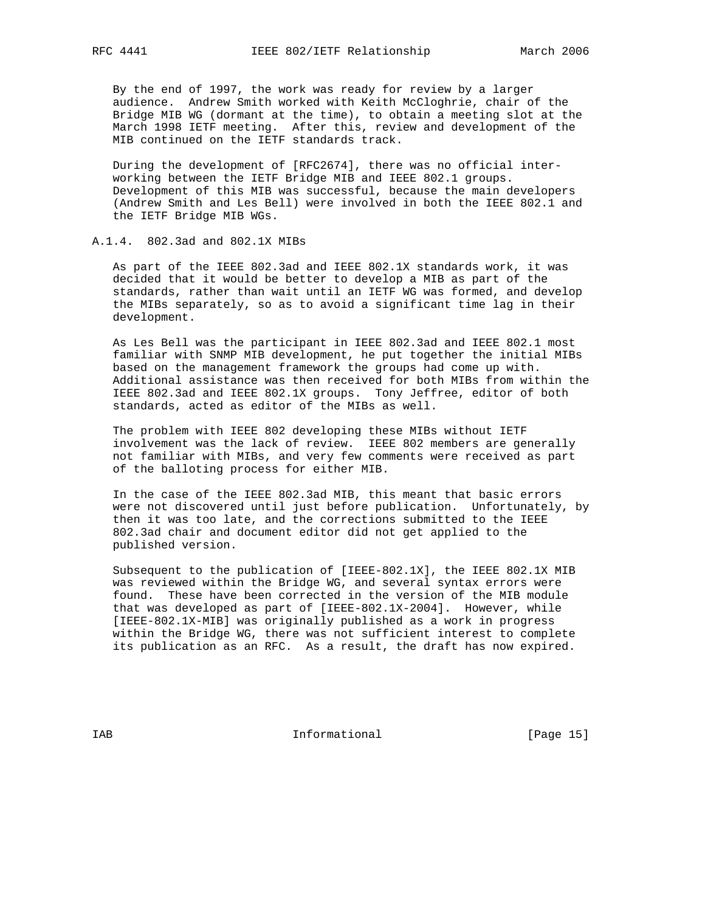By the end of 1997, the work was ready for review by a larger audience. Andrew Smith worked with Keith McCloghrie, chair of the Bridge MIB WG (dormant at the time), to obtain a meeting slot at the March 1998 IETF meeting. After this, review and development of the MIB continued on the IETF standards track.

 During the development of [RFC2674], there was no official inter working between the IETF Bridge MIB and IEEE 802.1 groups. Development of this MIB was successful, because the main developers (Andrew Smith and Les Bell) were involved in both the IEEE 802.1 and the IETF Bridge MIB WGs.

## A.1.4. 802.3ad and 802.1X MIBs

 As part of the IEEE 802.3ad and IEEE 802.1X standards work, it was decided that it would be better to develop a MIB as part of the standards, rather than wait until an IETF WG was formed, and develop the MIBs separately, so as to avoid a significant time lag in their development.

 As Les Bell was the participant in IEEE 802.3ad and IEEE 802.1 most familiar with SNMP MIB development, he put together the initial MIBs based on the management framework the groups had come up with. Additional assistance was then received for both MIBs from within the IEEE 802.3ad and IEEE 802.1X groups. Tony Jeffree, editor of both standards, acted as editor of the MIBs as well.

 The problem with IEEE 802 developing these MIBs without IETF involvement was the lack of review. IEEE 802 members are generally not familiar with MIBs, and very few comments were received as part of the balloting process for either MIB.

 In the case of the IEEE 802.3ad MIB, this meant that basic errors were not discovered until just before publication. Unfortunately, by then it was too late, and the corrections submitted to the IEEE 802.3ad chair and document editor did not get applied to the published version.

 Subsequent to the publication of [IEEE-802.1X], the IEEE 802.1X MIB was reviewed within the Bridge WG, and several syntax errors were found. These have been corrected in the version of the MIB module that was developed as part of [IEEE-802.1X-2004]. However, while [IEEE-802.1X-MIB] was originally published as a work in progress within the Bridge WG, there was not sufficient interest to complete its publication as an RFC. As a result, the draft has now expired.

IAB 188 and 100 Informational 188 and 1980 IS 188 and 189 and 189 and 189 and 189 and 189 and 189 and 189 and 1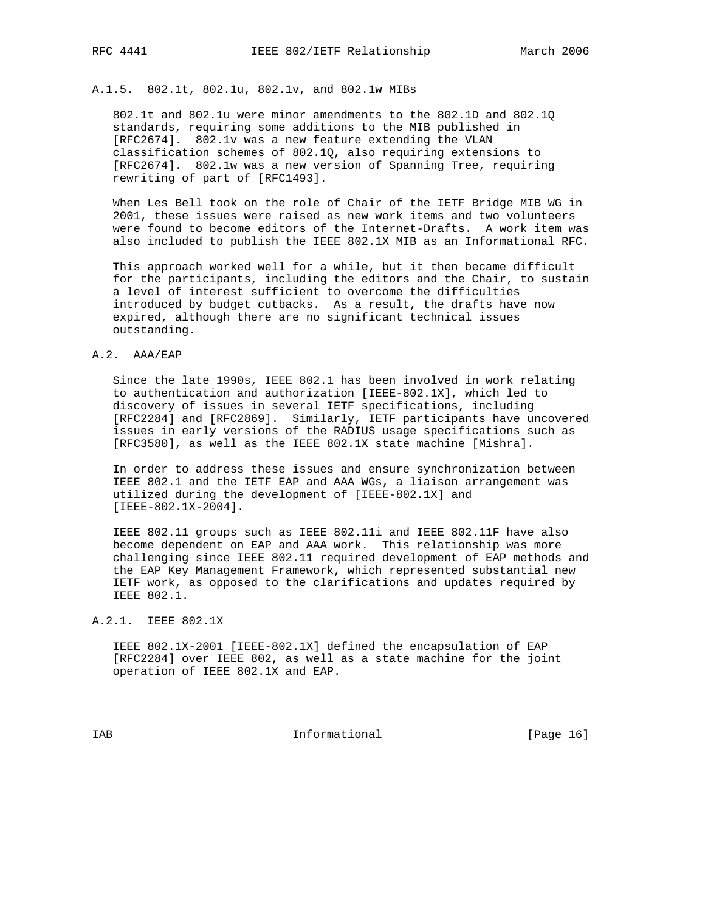A.1.5. 802.1t, 802.1u, 802.1v, and 802.1w MIBs

 802.1t and 802.1u were minor amendments to the 802.1D and 802.1Q standards, requiring some additions to the MIB published in [RFC2674]. 802.1v was a new feature extending the VLAN classification schemes of 802.1Q, also requiring extensions to [RFC2674]. 802.1w was a new version of Spanning Tree, requiring rewriting of part of [RFC1493].

 When Les Bell took on the role of Chair of the IETF Bridge MIB WG in 2001, these issues were raised as new work items and two volunteers were found to become editors of the Internet-Drafts. A work item was also included to publish the IEEE 802.1X MIB as an Informational RFC.

 This approach worked well for a while, but it then became difficult for the participants, including the editors and the Chair, to sustain a level of interest sufficient to overcome the difficulties introduced by budget cutbacks. As a result, the drafts have now expired, although there are no significant technical issues outstanding.

#### A.2. AAA/EAP

 Since the late 1990s, IEEE 802.1 has been involved in work relating to authentication and authorization [IEEE-802.1X], which led to discovery of issues in several IETF specifications, including [RFC2284] and [RFC2869]. Similarly, IETF participants have uncovered issues in early versions of the RADIUS usage specifications such as [RFC3580], as well as the IEEE 802.1X state machine [Mishra].

 In order to address these issues and ensure synchronization between IEEE 802.1 and the IETF EAP and AAA WGs, a liaison arrangement was utilized during the development of [IEEE-802.1X] and [IEEE-802.1X-2004].

 IEEE 802.11 groups such as IEEE 802.11i and IEEE 802.11F have also become dependent on EAP and AAA work. This relationship was more challenging since IEEE 802.11 required development of EAP methods and the EAP Key Management Framework, which represented substantial new IETF work, as opposed to the clarifications and updates required by IEEE 802.1.

A.2.1. IEEE 802.1X

 IEEE 802.1X-2001 [IEEE-802.1X] defined the encapsulation of EAP [RFC2284] over IEEE 802, as well as a state machine for the joint operation of IEEE 802.1X and EAP.

IAB Informational [Page 16]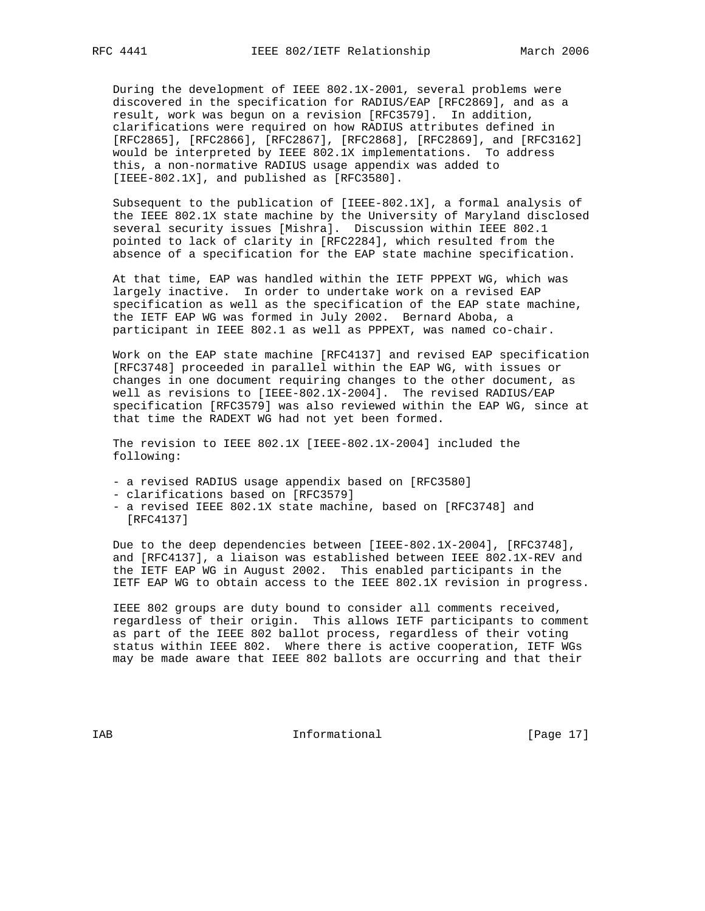During the development of IEEE 802.1X-2001, several problems were discovered in the specification for RADIUS/EAP [RFC2869], and as a result, work was begun on a revision [RFC3579]. In addition, clarifications were required on how RADIUS attributes defined in [RFC2865], [RFC2866], [RFC2867], [RFC2868], [RFC2869], and [RFC3162] would be interpreted by IEEE 802.1X implementations. To address this, a non-normative RADIUS usage appendix was added to [IEEE-802.1X], and published as [RFC3580].

 Subsequent to the publication of [IEEE-802.1X], a formal analysis of the IEEE 802.1X state machine by the University of Maryland disclosed several security issues [Mishra]. Discussion within IEEE 802.1 pointed to lack of clarity in [RFC2284], which resulted from the absence of a specification for the EAP state machine specification.

 At that time, EAP was handled within the IETF PPPEXT WG, which was largely inactive. In order to undertake work on a revised EAP specification as well as the specification of the EAP state machine, the IETF EAP WG was formed in July 2002. Bernard Aboba, a participant in IEEE 802.1 as well as PPPEXT, was named co-chair.

 Work on the EAP state machine [RFC4137] and revised EAP specification [RFC3748] proceeded in parallel within the EAP WG, with issues or changes in one document requiring changes to the other document, as well as revisions to [IEEE-802.1X-2004]. The revised RADIUS/EAP specification [RFC3579] was also reviewed within the EAP WG, since at that time the RADEXT WG had not yet been formed.

 The revision to IEEE 802.1X [IEEE-802.1X-2004] included the following:

- a revised RADIUS usage appendix based on [RFC3580]
- clarifications based on [RFC3579]
- a revised IEEE 802.1X state machine, based on [RFC3748] and [RFC4137]

 Due to the deep dependencies between [IEEE-802.1X-2004], [RFC3748], and [RFC4137], a liaison was established between IEEE 802.1X-REV and the IETF EAP WG in August 2002. This enabled participants in the IETF EAP WG to obtain access to the IEEE 802.1X revision in progress.

 IEEE 802 groups are duty bound to consider all comments received, regardless of their origin. This allows IETF participants to comment as part of the IEEE 802 ballot process, regardless of their voting status within IEEE 802. Where there is active cooperation, IETF WGs may be made aware that IEEE 802 ballots are occurring and that their

IAB Informational [Page 17]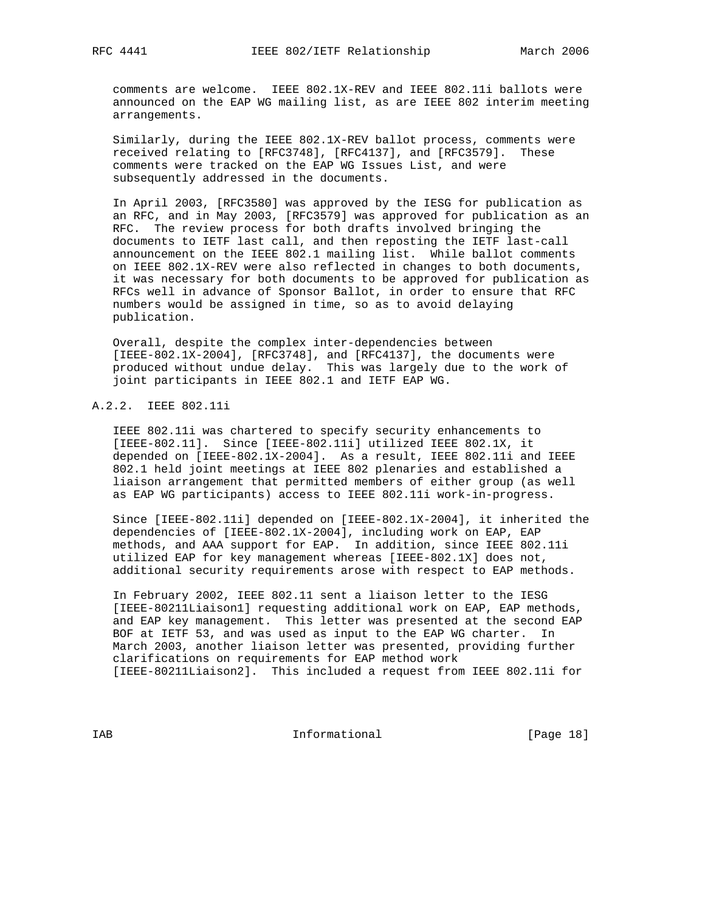comments are welcome. IEEE 802.1X-REV and IEEE 802.11i ballots were announced on the EAP WG mailing list, as are IEEE 802 interim meeting arrangements.

 Similarly, during the IEEE 802.1X-REV ballot process, comments were received relating to [RFC3748], [RFC4137], and [RFC3579]. These comments were tracked on the EAP WG Issues List, and were subsequently addressed in the documents.

 In April 2003, [RFC3580] was approved by the IESG for publication as an RFC, and in May 2003, [RFC3579] was approved for publication as an RFC. The review process for both drafts involved bringing the documents to IETF last call, and then reposting the IETF last-call announcement on the IEEE 802.1 mailing list. While ballot comments on IEEE 802.1X-REV were also reflected in changes to both documents, it was necessary for both documents to be approved for publication as RFCs well in advance of Sponsor Ballot, in order to ensure that RFC numbers would be assigned in time, so as to avoid delaying publication.

 Overall, despite the complex inter-dependencies between [IEEE-802.1X-2004], [RFC3748], and [RFC4137], the documents were produced without undue delay. This was largely due to the work of joint participants in IEEE 802.1 and IETF EAP WG.

## A.2.2. IEEE 802.11i

 IEEE 802.11i was chartered to specify security enhancements to [IEEE-802.11]. Since [IEEE-802.11i] utilized IEEE 802.1X, it depended on [IEEE-802.1X-2004]. As a result, IEEE 802.11i and IEEE 802.1 held joint meetings at IEEE 802 plenaries and established a liaison arrangement that permitted members of either group (as well as EAP WG participants) access to IEEE 802.11i work-in-progress.

 Since [IEEE-802.11i] depended on [IEEE-802.1X-2004], it inherited the dependencies of [IEEE-802.1X-2004], including work on EAP, EAP methods, and AAA support for EAP. In addition, since IEEE 802.11i utilized EAP for key management whereas [IEEE-802.1X] does not, additional security requirements arose with respect to EAP methods.

 In February 2002, IEEE 802.11 sent a liaison letter to the IESG [IEEE-80211Liaison1] requesting additional work on EAP, EAP methods, and EAP key management. This letter was presented at the second EAP BOF at IETF 53, and was used as input to the EAP WG charter. In March 2003, another liaison letter was presented, providing further clarifications on requirements for EAP method work [IEEE-80211Liaison2]. This included a request from IEEE 802.11i for

IAB Informational [Page 18]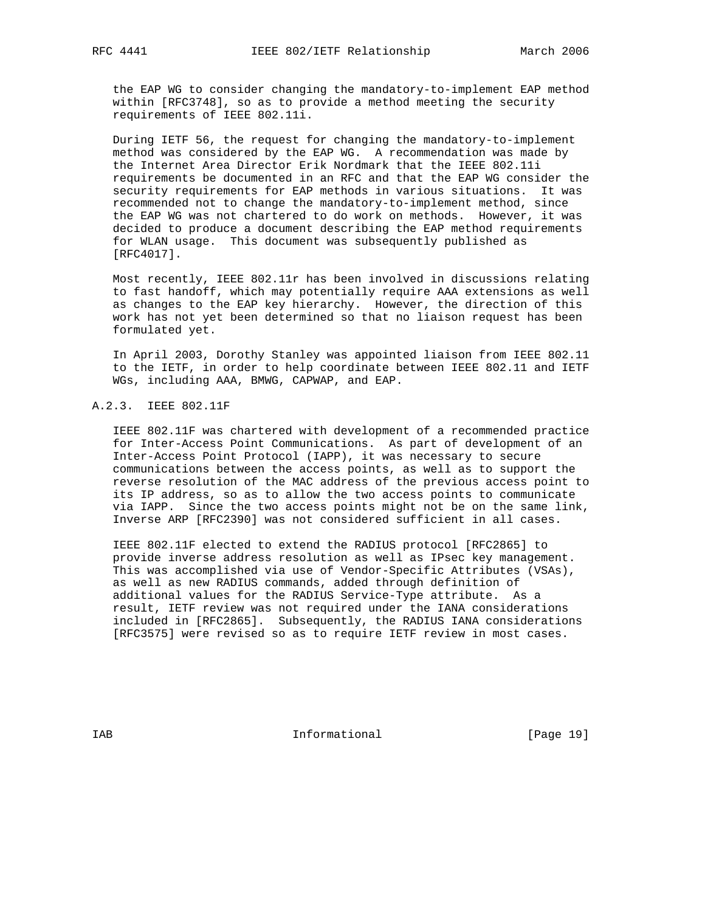the EAP WG to consider changing the mandatory-to-implement EAP method within [RFC3748], so as to provide a method meeting the security requirements of IEEE 802.11i.

 During IETF 56, the request for changing the mandatory-to-implement method was considered by the EAP WG. A recommendation was made by the Internet Area Director Erik Nordmark that the IEEE 802.11i requirements be documented in an RFC and that the EAP WG consider the security requirements for EAP methods in various situations. It was recommended not to change the mandatory-to-implement method, since the EAP WG was not chartered to do work on methods. However, it was decided to produce a document describing the EAP method requirements for WLAN usage. This document was subsequently published as [RFC4017].

 Most recently, IEEE 802.11r has been involved in discussions relating to fast handoff, which may potentially require AAA extensions as well as changes to the EAP key hierarchy. However, the direction of this work has not yet been determined so that no liaison request has been formulated yet.

 In April 2003, Dorothy Stanley was appointed liaison from IEEE 802.11 to the IETF, in order to help coordinate between IEEE 802.11 and IETF WGs, including AAA, BMWG, CAPWAP, and EAP.

### A.2.3. IEEE 802.11F

 IEEE 802.11F was chartered with development of a recommended practice for Inter-Access Point Communications. As part of development of an Inter-Access Point Protocol (IAPP), it was necessary to secure communications between the access points, as well as to support the reverse resolution of the MAC address of the previous access point to its IP address, so as to allow the two access points to communicate via IAPP. Since the two access points might not be on the same link, Inverse ARP [RFC2390] was not considered sufficient in all cases.

 IEEE 802.11F elected to extend the RADIUS protocol [RFC2865] to provide inverse address resolution as well as IPsec key management. This was accomplished via use of Vendor-Specific Attributes (VSAs), as well as new RADIUS commands, added through definition of additional values for the RADIUS Service-Type attribute. As a result, IETF review was not required under the IANA considerations included in [RFC2865]. Subsequently, the RADIUS IANA considerations [RFC3575] were revised so as to require IETF review in most cases.

IAB Informational [Page 19]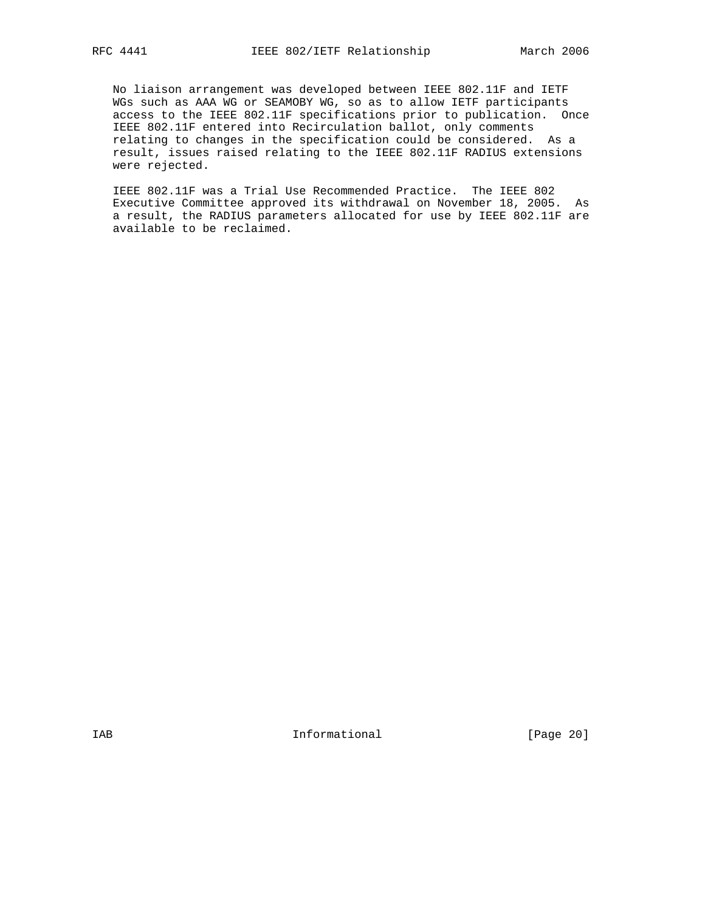No liaison arrangement was developed between IEEE 802.11F and IETF WGs such as AAA WG or SEAMOBY WG, so as to allow IETF participants access to the IEEE 802.11F specifications prior to publication. Once IEEE 802.11F entered into Recirculation ballot, only comments relating to changes in the specification could be considered. As a result, issues raised relating to the IEEE 802.11F RADIUS extensions were rejected.

 IEEE 802.11F was a Trial Use Recommended Practice. The IEEE 802 Executive Committee approved its withdrawal on November 18, 2005. As a result, the RADIUS parameters allocated for use by IEEE 802.11F are available to be reclaimed.

IAB Informational [Page 20]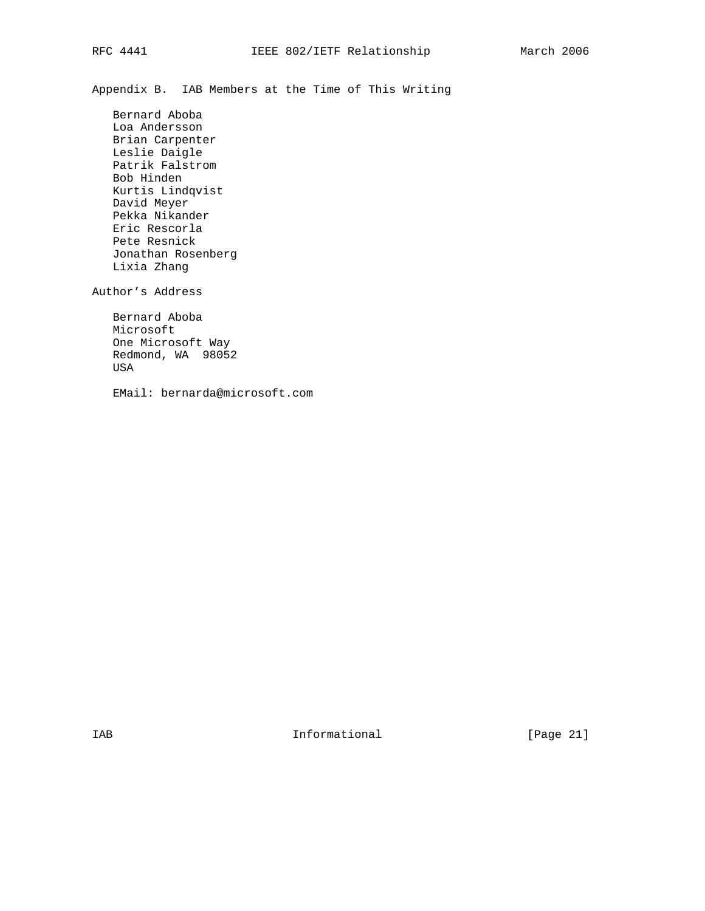Appendix B. IAB Members at the Time of This Writing

 Bernard Aboba Loa Andersson Brian Carpenter Leslie Daigle Patrik Falstrom Bob Hinden Kurtis Lindqvist David Meyer Pekka Nikander Eric Rescorla Pete Resnick Jonathan Rosenberg Lixia Zhang

Author's Address

 Bernard Aboba Microsoft One Microsoft Way Redmond, WA 98052 USA

EMail: bernarda@microsoft.com

IAB 188 and 100 Informational 188 and 1980 Informational 188 and 189 and 189 and 189 and 189 and 189 and 189 and 189 and 189 and 189 and 189 and 189 and 189 and 189 and 189 and 189 and 189 and 189 and 189 and 189 and 189 a